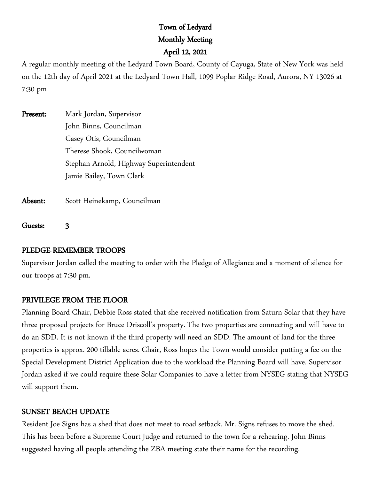A regular monthly meeting of the Ledyard Town Board, County of Cayuga, State of New York was held on the 12th day of April 2021 at the Ledyard Town Hall, 1099 Poplar Ridge Road, Aurora, NY 13026 at 7:30 pm

Present: Mark Jordan, Supervisor John Binns, Councilman Casey Otis, Councilman Therese Shook, Councilwoman Stephan Arnold, Highway Superintendent Jamie Bailey, Town Clerk

Absent: Scott Heinekamp, Councilman

Guests: 3

# PLEDGE-REMEMBER TROOPS

Supervisor Jordan called the meeting to order with the Pledge of Allegiance and a moment of silence for our troops at 7:30 pm.

# PRIVILEGE FROM THE FLOOR

Planning Board Chair, Debbie Ross stated that she received notification from Saturn Solar that they have three proposed projects for Bruce Driscoll's property. The two properties are connecting and will have to do an SDD. It is not known if the third property will need an SDD. The amount of land for the three properties is approx. 200 tillable acres. Chair, Ross hopes the Town would consider putting a fee on the Special Development District Application due to the workload the Planning Board will have. Supervisor Jordan asked if we could require these Solar Companies to have a letter from NYSEG stating that NYSEG will support them.

#### SUNSET BEACH UPDATE

Resident Joe Signs has a shed that does not meet to road setback. Mr. Signs refuses to move the shed. This has been before a Supreme Court Judge and returned to the town for a rehearing. John Binns suggested having all people attending the ZBA meeting state their name for the recording.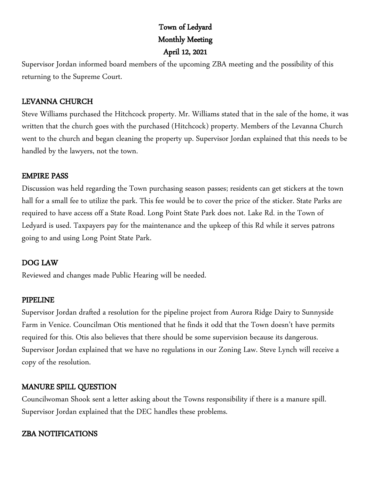Supervisor Jordan informed board members of the upcoming ZBA meeting and the possibility of this returning to the Supreme Court.

### LEVANNA CHURCH

Steve Williams purchased the Hitchcock property. Mr. Williams stated that in the sale of the home, it was written that the church goes with the purchased (Hitchcock) property. Members of the Levanna Church went to the church and began cleaning the property up. Supervisor Jordan explained that this needs to be handled by the lawyers, not the town.

#### EMPIRE PASS

Discussion was held regarding the Town purchasing season passes; residents can get stickers at the town hall for a small fee to utilize the park. This fee would be to cover the price of the sticker. State Parks are required to have access off a State Road. Long Point State Park does not. Lake Rd. in the Town of Ledyard is used. Taxpayers pay for the maintenance and the upkeep of this Rd while it serves patrons going to and using Long Point State Park.

#### DOG LAW

Reviewed and changes made Public Hearing will be needed.

#### PIPELINE

Supervisor Jordan drafted a resolution for the pipeline project from Aurora Ridge Dairy to Sunnyside Farm in Venice. Councilman Otis mentioned that he finds it odd that the Town doesn't have permits required for this. Otis also believes that there should be some supervision because its dangerous. Supervisor Jordan explained that we have no regulations in our Zoning Law. Steve Lynch will receive a copy of the resolution.

# MANURE SPILL QUESTION

Councilwoman Shook sent a letter asking about the Towns responsibility if there is a manure spill. Supervisor Jordan explained that the DEC handles these problems.

# ZBA NOTIFICATIONS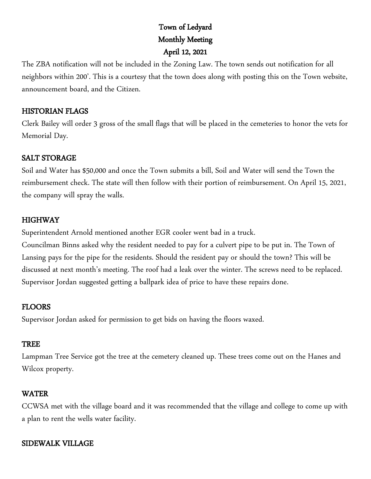The ZBA notification will not be included in the Zoning Law. The town sends out notification for all neighbors within 200'. This is a courtesy that the town does along with posting this on the Town website, announcement board, and the Citizen.

# HISTORIAN FLAGS

Clerk Bailey will order 3 gross of the small flags that will be placed in the cemeteries to honor the vets for Memorial Day.

# SALT STORAGE

Soil and Water has \$50,000 and once the Town submits a bill, Soil and Water will send the Town the reimbursement check. The state will then follow with their portion of reimbursement. On April 15, 2021, the company will spray the walls.

# HIGHWAY

Superintendent Arnold mentioned another EGR cooler went bad in a truck.

Councilman Binns asked why the resident needed to pay for a culvert pipe to be put in. The Town of Lansing pays for the pipe for the residents. Should the resident pay or should the town? This will be discussed at next month's meeting. The roof had a leak over the winter. The screws need to be replaced. Supervisor Jordan suggested getting a ballpark idea of price to have these repairs done.

# FLOORS

Supervisor Jordan asked for permission to get bids on having the floors waxed.

#### TREE

Lampman Tree Service got the tree at the cemetery cleaned up. These trees come out on the Hanes and Wilcox property.

# WATER

CCWSA met with the village board and it was recommended that the village and college to come up with a plan to rent the wells water facility.

# SIDEWALK VILLAGE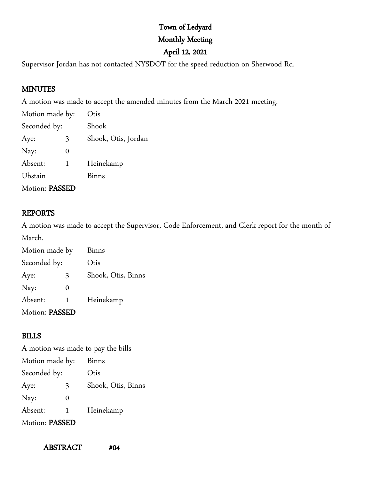Supervisor Jordan has not contacted NYSDOT for the speed reduction on Sherwood Rd.

# MINUTES

A motion was made to accept the amended minutes from the March 2021 meeting.

| Motion made by: |   | Otis                |  |
|-----------------|---|---------------------|--|
| Seconded by:    |   | Shook               |  |
| Aye:            | 3 | Shook, Otis, Jordan |  |
| Nay:            | 0 |                     |  |
| Absent:         | 1 | Heinekamp           |  |
| Ubstain         |   | <b>Binns</b>        |  |
| Motion: PASSED  |   |                     |  |

# REPORTS

A motion was made to accept the Supervisor, Code Enforcement, and Clerk report for the month of March.

| Motion made by |   | <b>Binns</b>       |
|----------------|---|--------------------|
| Seconded by:   |   | Otis               |
| Aye:           | 3 | Shook, Otis, Binns |
| Nay:           | 0 |                    |
| Absent:        | 1 | Heinekamp          |
| Motion: PASSED |   |                    |

# BILLS

A motion was made to pay the bills Motion made by: Binns Seconded by: Otis Aye: 3 Shook, Otis, Binns Nay: 0 Absent: 1 Heinekamp Motion: PASSED

ABSTRACT #04